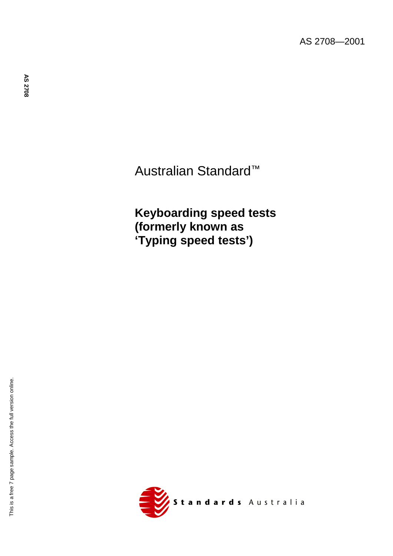Australian Standard™

**Keyboarding speed tests (formerly known as 'Typing speed tests')**

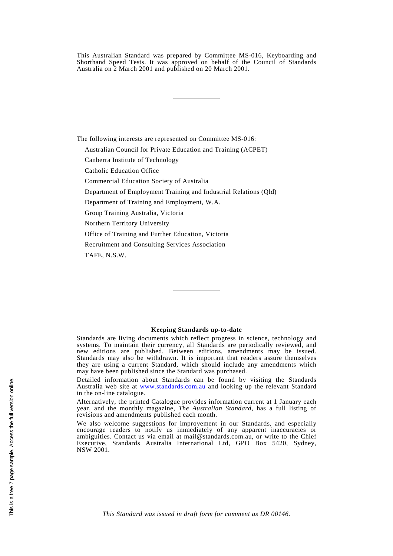This Australian Standard was prepared by Committee MS-016, Keyboarding and Shorthand Speed Tests. It was approved on behalf of the Council of Standards Australia on 2 March 2001 and published on 20 March 2001.

The following interests are represented on Committee MS-016:

Australian Council for Private Education and Training (ACPET)

Canberra Institute of Technology

Catholic Education Office

Commercial Education Society of Australia

Department of Employment Training and Industrial Relations (Qld)

Department of Training and Employment, W.A.

Group Training Australia, Victoria

Northern Territory University

Office of Training and Further Education, Victoria

Recruitment and Consulting Services Association

TAFE, N.S.W.

### **Keeping Standards up-to-date**

Standards are living documents which reflect progress in science, technology and systems. To maintain their currency, all Standards are periodically reviewed, and new editions are published. Between editions, amendments may be issued. Standards may also be withdrawn. It is important that readers assure themselves they are using a current Standard, which should include any amendments which may have been published since the Standard was purchased.

Detailed information about Standards can be found by visiting the Standards Australia web site at [www.standards.com.au](http://www.standards.com.au) and looking up the relevant Standard in the on-line catalogue.

Alternatively, the printed Catalogue provides information current at 1 January each year, and the monthly magazine, *The Australian Standard*, has a full listing of revisions and amendments published each month.

We also welcome suggestions for improvement in our Standards, and especially encourage readers to notify us immediately of any apparent inaccuracies or ambiguities. Contact us via email at mail@standards.com.au, or write to the Chief Executive, Standards Australia International Ltd, GPO Box 5420, Sydney, NSW 2001.

*This Standard was issued in draft form for comment as DR 00146.*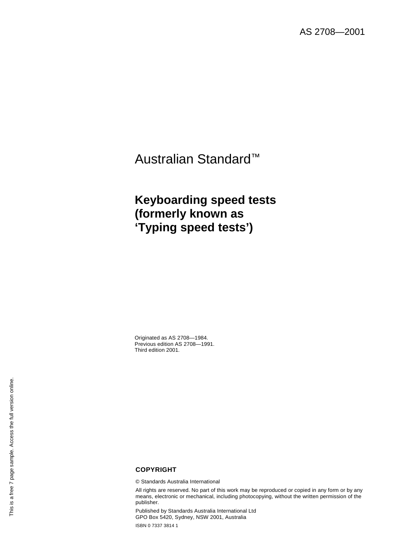# Australian Standard™

# **Keyboarding speed tests (formerly known as 'Typing speed tests')**

Originated as AS 2708—1984. Previous edition AS 2708—1991. Third edition 2001.

# This is a free 7 page sample. Access the full version online. This is a free 7 page sample. Access the full version online.

# **COPYRIGHT**

© Standards Australia International

All rights are reserved. No part of this work may be reproduced or copied in any form or by any means, electronic or mechanical, including photocopying, without the written permission of the publisher.

Published by Standards Australia International Ltd GPO Box 5420, Sydney, NSW 2001, Australia

ISBN 0 7337 3814 1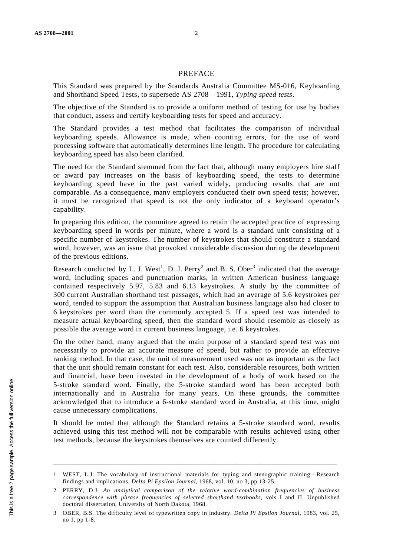## PREFACE

This Standard was prepared by the Standards Australia Committee MS-016, Keyboarding and Shorthand Speed Tests, to supersede AS 2708—1991, *Typing speed tests*.

The objective of the Standard is to provide a uniform method of testing for use by bodies that conduct, assess and certify keyboarding tests for speed and accuracy.

The Standard provides a test method that facilitates the comparison of individual keyboarding speeds. Allowance is made, when counting errors, for the use of word processing software that automatically determines line length. The procedure for calculating keyboarding speed has also been clarified.

The need for the Standard stemmed from the fact that, although many employers hire staff or award pay increases on the basis of keyboarding speed, the tests to determine keyboarding speed have in the past varied widely, producing results that are not comparable. As a consequence, many employers conducted their own speed tests; however, it must be recognized that speed is not the only indicator of a keyboard operator's capability.

In preparing this edition, the committee agreed to retain the accepted practice of expressing keyboarding speed in words per minute, where a word is a standard unit consisting of a specific number of keystrokes. The number of keystrokes that should constitute a standard word, however, was an issue that provoked considerable discussion during the development of the previous editions.

Research conducted by L. J. West<sup>1</sup>, D. J. Perry<sup>2</sup> and B. S. Ober<sup>3</sup> indicated that the average word, including spaces and punctuation marks, in written American business language contained respectively 5.97, 5.83 and 6.13 keystrokes. A study by the committee of 300 current Australian shorthand test passages, which had an average of 5.6 keystrokes per word, tended to support the assumption that Australian business language also had closer to 6 keystrokes per word than the commonly accepted 5. If a speed test was intended to measure actual keyboarding speed, then the standard word should resemble as closely as possible the average word in current business language, i.e. 6 keystrokes.

On the other hand, many argued that the main purpose of a standard speed test was not necessarily to provide an accurate measure of speed, but rather to provide an effective ranking method. In that case, the unit of measurement used was not as important as the fact that the unit should remain constant for each test. Also, considerable resources, both written and financial, have been invested in the development of a body of work based on the 5-stroke standard word. Finally, the 5-stroke standard word has been accepted both internationally and in Australia for many years. On these grounds, the committee acknowledged that to introduce a 6-stroke standard word in Australia, at this time, might cause unnecessary complications.

It should be noted that although the Standard retains a 5-stroke standard word, results achieved using this test method will not be comparable with results achieved using other test methods, because the keystrokes themselves are counted differently.

\_\_\_\_\_\_\_\_\_\_\_\_\_\_\_\_\_\_\_\_\_\_\_\_\_\_\_\_\_\_\_\_\_\_\_\_\_\_\_\_\_\_\_\_\_\_\_\_\_\_\_\_\_\_\_\_\_\_\_\_\_\_\_\_\_\_\_\_\_\_\_\_\_\_

<sup>1</sup> WEST, L.J. The vocabulary of instructional materials for typing and stenographic training—Research findings and implications. *Delta Pi Epsilon Journal*, 1968, vol. 10, no 3, pp 13-25.

<sup>2</sup> PERRY, D.J. *An analytical comparison of the relative word-combination frequencies of business correspondence with phrase frequencies of selected shorthand textbooks*, vols I and II. Unpublished doctoral dissertation, University of North Dakota, 1968.

<sup>3</sup> OBER, B.S. The difficulty level of typewritten copy in industry. *Delta Pi Epsilon Journal*, 1983, vol. 25, no 1, pp 1-8.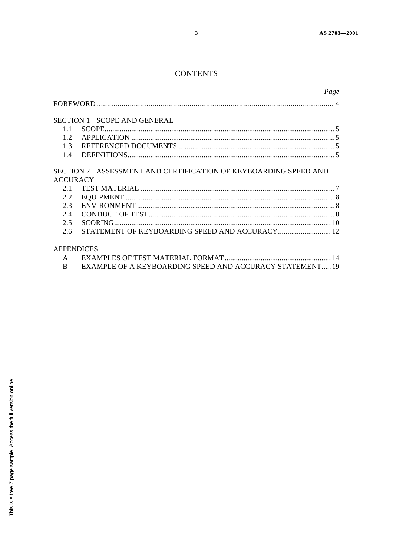# **CONTENTS**

|                        |                                                                 | Page |
|------------------------|-----------------------------------------------------------------|------|
|                        |                                                                 |      |
|                        | SECTION 1 SCOPE AND GENERAL                                     |      |
| $1.1 -$                | $SCOPE$                                                         |      |
| 12 <sub>2</sub>        |                                                                 |      |
|                        |                                                                 |      |
| 1.4                    |                                                                 |      |
| <b>ACCURACY</b><br>2.1 | SECTION 2 ASSESSMENT AND CERTIFICATION OF KEYBOARDING SPEED AND |      |
| $2.2^{\circ}$          |                                                                 |      |
| 2.3                    |                                                                 |      |
| 2.4                    |                                                                 |      |
| 2.5                    |                                                                 |      |
| 2.6                    | STATEMENT OF KEYBOARDING SPEED AND ACCURACY 12                  |      |
|                        | APPENDICES                                                      |      |
| $\mathbf{A}$           |                                                                 |      |
| B                      | EXAMPLE OF A KEYBOARDING SPEED AND ACCURACY STATEMENT 19        |      |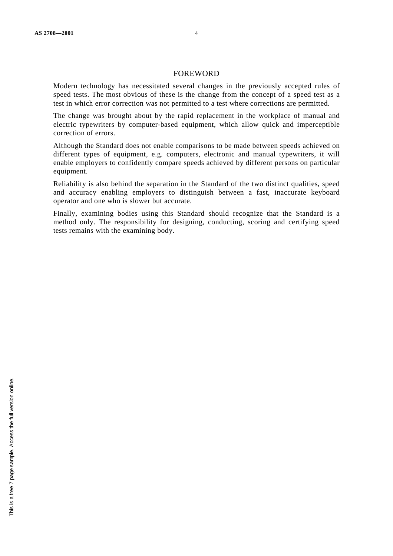### FOREWORD

Modern technology has necessitated several changes in the previously accepted rules of speed tests. The most obvious of these is the change from the concept of a speed test as a test in which error correction was not permitted to a test where corrections are permitted.

The change was brought about by the rapid replacement in the workplace of manual and electric typewriters by computer-based equipment, which allow quick and imperceptible correction of errors.

Although the Standard does not enable comparisons to be made between speeds achieved on different types of equipment, e.g. computers, electronic and manual typewriters, it will enable employers to confidently compare speeds achieved by different persons on particular equipment.

Reliability is also behind the separation in the Standard of the two distinct qualities, speed and accuracy enabling employers to distinguish between a fast, inaccurate keyboard operator and one who is slower but accurate.

Finally, examining bodies using this Standard should recognize that the Standard is a method only. The responsibility for designing, conducting, scoring and certifying speed tests remains with the examining body.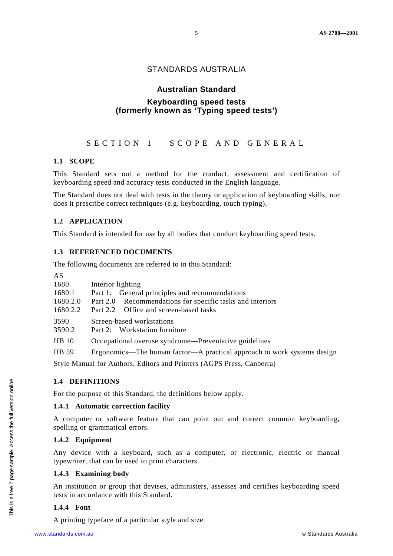# STANDARDS AUSTRALIA

# **Australian Standard Keyboarding speed tests (formerly known as 'Typing speed tests')**

SECTION 1 SCOPE AND GENERAL

# **1.1 SCOPE**

This Standard sets out a method for the conduct, assessment and certification of keyboarding speed and accuracy tests conducted in the English language.

The Standard does not deal with tests in the theory or application of keyboarding skills, nor does it prescribe correct techniques (e.g. keyboarding, touch typing).

# **1.2 APPLICATION**

This Standard is intended for use by all bodies that conduct keyboarding speed tests.

# **1.3 REFERENCED DOCUMENTS**

The following documents are referred to in this Standard:

| AS             |                                                                         |
|----------------|-------------------------------------------------------------------------|
| 1680           | Interior lighting                                                       |
| 1680.1         | Part 1: General principles and recommendations                          |
| 1680.2.0       | Part 2.0 Recommendations for specific tasks and interiors               |
| 1680.2.2       | Part 2.2 Office and screen-based tasks                                  |
| 3590<br>3590.2 | Screen-based workstations<br>Part 2: Workstation furniture              |
| <b>HB</b> 10   | Occupational overuse syndrome—Preventative guidelines                   |
| HB 59          | Ergonomics—The human factor—A practical approach to work systems design |
|                | Style Manual for Authors, Editors and Printers (AGPS Press, Canberra)   |

# **1.4 DEFINITIONS**

For the purpose of this Standard, the definitions below apply.

# **1.4.1 Automatic correction facility**

A computer or software feature that can point out and correct common keyboarding, spelling or grammatical errors.

# **1.4.2 Equipment**

Any device with a keyboard, such as a computer, or electronic, electric or manual typewriter, that can be used to print characters.

# **1.4.3 Examining body**

An institution or group that devises, administers, assesses and certifies keyboarding speed tests in accordance with this Standard.

# **1.4.4 Font**

A printing typeface of a particular style and size.